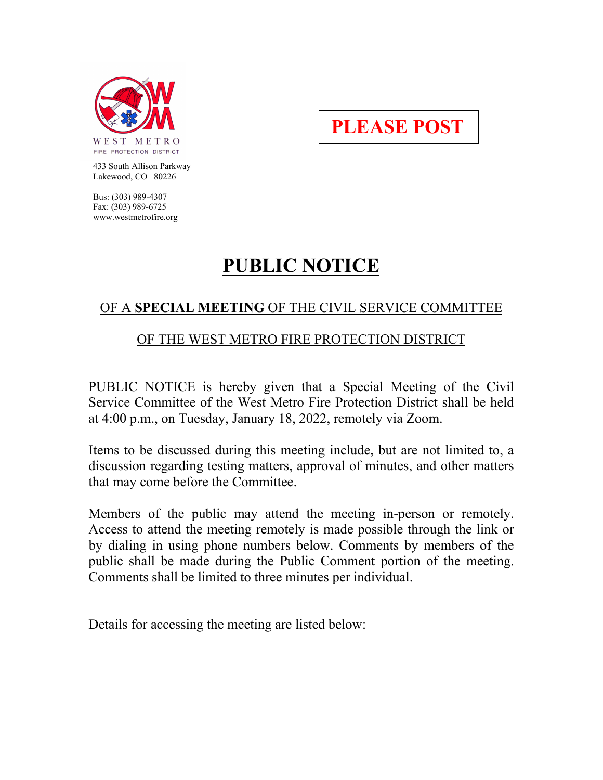

**PLEASE POST**

 433 South Allison Parkway Lakewood, CO 80226

 Bus: (303) 989-4307 Fax: (303) 989-6725 www.westmetrofire.org

# **PUBLIC NOTICE**

# OF A **SPECIAL MEETING** OF THE CIVIL SERVICE COMMITTEE

# OF THE WEST METRO FIRE PROTECTION DISTRICT

PUBLIC NOTICE is hereby given that a Special Meeting of the Civil Service Committee of the West Metro Fire Protection District shall be held at 4:00 p.m., on Tuesday, January 18, 2022, remotely via Zoom.

Items to be discussed during this meeting include, but are not limited to, a discussion regarding testing matters, approval of minutes, and other matters that may come before the Committee.

Members of the public may attend the meeting in-person or remotely. Access to attend the meeting remotely is made possible through the link or by dialing in using phone numbers below. Comments by members of the public shall be made during the Public Comment portion of the meeting. Comments shall be limited to three minutes per individual.

Details for accessing the meeting are listed below: